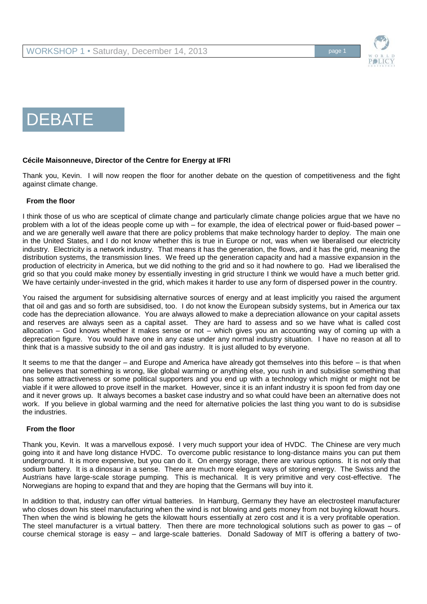

DEBATE

# **Cécile Maisonneuve, Director of the Centre for Energy at IFRI**

Thank you, Kevin. I will now reopen the floor for another debate on the question of competitiveness and the fight against climate change.

### **From the floor**

I think those of us who are sceptical of climate change and particularly climate change policies argue that we have no problem with a lot of the ideas people come up with – for example, the idea of electrical power or fluid-based power – and we are generally well aware that there are policy problems that make technology harder to deploy. The main one in the United States, and I do not know whether this is true in Europe or not, was when we liberalised our electricity industry. Electricity is a network industry. That means it has the generation, the flows, and it has the grid, meaning the distribution systems, the transmission lines. We freed up the generation capacity and had a massive expansion in the production of electricity in America, but we did nothing to the grid and so it had nowhere to go. Had we liberalised the grid so that you could make money by essentially investing in grid structure I think we would have a much better grid. We have certainly under-invested in the grid, which makes it harder to use any form of dispersed power in the country.

You raised the argument for subsidising alternative sources of energy and at least implicitly you raised the argument that oil and gas and so forth are subsidised, too. I do not know the European subsidy systems, but in America our tax code has the depreciation allowance. You are always allowed to make a depreciation allowance on your capital assets and reserves are always seen as a capital asset. They are hard to assess and so we have what is called cost allocation – God knows whether it makes sense or not – which gives you an accounting way of coming up with a deprecation figure. You would have one in any case under any normal industry situation. I have no reason at all to think that is a massive subsidy to the oil and gas industry. It is just alluded to by everyone.

It seems to me that the danger – and Europe and America have already got themselves into this before – is that when one believes that something is wrong, like global warming or anything else, you rush in and subsidise something that has some attractiveness or some political supporters and you end up with a technology which might or might not be viable if it were allowed to prove itself in the market. However, since it is an infant industry it is spoon fed from day one and it never grows up. It always becomes a basket case industry and so what could have been an alternative does not work. If you believe in global warming and the need for alternative policies the last thing you want to do is subsidise the industries.

### **From the floor**

Thank you, Kevin. It was a marvellous exposé. I very much support your idea of HVDC. The Chinese are very much going into it and have long distance HVDC. To overcome public resistance to long-distance mains you can put them underground. It is more expensive, but you can do it. On energy storage, there are various options. It is not only that sodium battery. It is a dinosaur in a sense. There are much more elegant ways of storing energy. The Swiss and the Austrians have large-scale storage pumping. This is mechanical. It is very primitive and very cost-effective. The Norwegians are hoping to expand that and they are hoping that the Germans will buy into it.

In addition to that, industry can offer virtual batteries. In Hamburg, Germany they have an electrosteel manufacturer who closes down his steel manufacturing when the wind is not blowing and gets money from not buying kilowatt hours. Then when the wind is blowing he gets the kilowatt hours essentially at zero cost and it is a very profitable operation. The steel manufacturer is a virtual battery. Then there are more technological solutions such as power to gas – of course chemical storage is easy – and large-scale batteries. Donald Sadoway of MIT is offering a battery of two-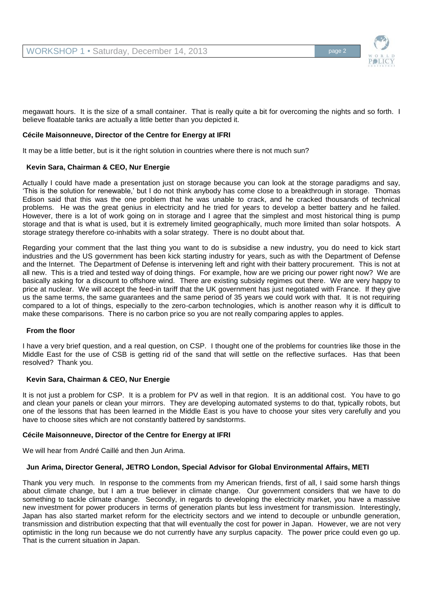

megawatt hours. It is the size of a small container. That is really quite a bit for overcoming the nights and so forth. I believe floatable tanks are actually a little better than you depicted it.

### **Cécile Maisonneuve, Director of the Centre for Energy at IFRI**

It may be a little better, but is it the right solution in countries where there is not much sun?

### **Kevin Sara, Chairman & CEO, Nur Energie**

Actually I could have made a presentation just on storage because you can look at the storage paradigms and say, 'This is the solution for renewable,' but I do not think anybody has come close to a breakthrough in storage. Thomas Edison said that this was the one problem that he was unable to crack, and he cracked thousands of technical problems. He was the great genius in electricity and he tried for years to develop a better battery and he failed. However, there is a lot of work going on in storage and I agree that the simplest and most historical thing is pump storage and that is what is used, but it is extremely limited geographically, much more limited than solar hotspots. A storage strategy therefore co-inhabits with a solar strategy. There is no doubt about that.

Regarding your comment that the last thing you want to do is subsidise a new industry, you do need to kick start industries and the US government has been kick starting industry for years, such as with the Department of Defense and the Internet. The Department of Defense is intervening left and right with their battery procurement. This is not at all new. This is a tried and tested way of doing things. For example, how are we pricing our power right now? We are basically asking for a discount to offshore wind. There are existing subsidy regimes out there. We are very happy to price at nuclear. We will accept the feed-in tariff that the UK government has just negotiated with France. If they give us the same terms, the same guarantees and the same period of 35 years we could work with that. It is not requiring compared to a lot of things, especially to the zero-carbon technologies, which is another reason why it is difficult to make these comparisons. There is no carbon price so you are not really comparing apples to apples.

### **From the floor**

I have a very brief question, and a real question, on CSP. I thought one of the problems for countries like those in the Middle East for the use of CSB is getting rid of the sand that will settle on the reflective surfaces. Has that been resolved? Thank you.

### **Kevin Sara, Chairman & CEO, Nur Energie**

It is not just a problem for CSP. It is a problem for PV as well in that region. It is an additional cost. You have to go and clean your panels or clean your mirrors. They are developing automated systems to do that, typically robots, but one of the lessons that has been learned in the Middle East is you have to choose your sites very carefully and you have to choose sites which are not constantly battered by sandstorms.

### **Cécile Maisonneuve, Director of the Centre for Energy at IFRI**

We will hear from André Caillé and then Jun Arima.

### **Jun Arima, Director General, JETRO London, Special Advisor for Global Environmental Affairs, METI**

Thank you very much. In response to the comments from my American friends, first of all, I said some harsh things about climate change, but I am a true believer in climate change. Our government considers that we have to do something to tackle climate change. Secondly, in regards to developing the electricity market, you have a massive new investment for power producers in terms of generation plants but less investment for transmission. Interestingly, Japan has also started market reform for the electricity sectors and we intend to decouple or unbundle generation, transmission and distribution expecting that that will eventually the cost for power in Japan. However, we are not very optimistic in the long run because we do not currently have any surplus capacity. The power price could even go up. That is the current situation in Japan.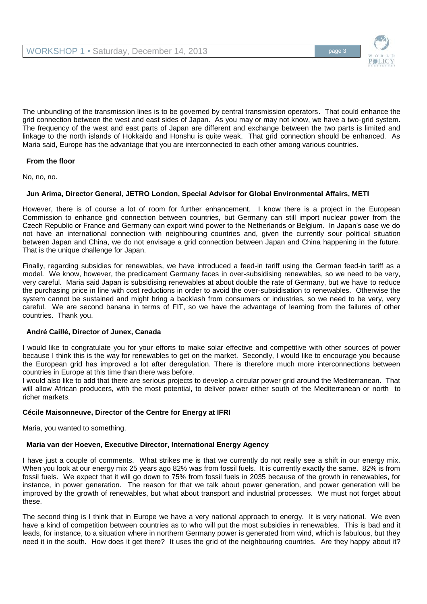

The unbundling of the transmission lines is to be governed by central transmission operators. That could enhance the grid connection between the west and east sides of Japan. As you may or may not know, we have a two-grid system. The frequency of the west and east parts of Japan are different and exchange between the two parts is limited and linkage to the north islands of Hokkaido and Honshu is quite weak. That grid connection should be enhanced. As Maria said, Europe has the advantage that you are interconnected to each other among various countries.

### **From the floor**

No, no, no.

### **Jun Arima, Director General, JETRO London, Special Advisor for Global Environmental Affairs, METI**

However, there is of course a lot of room for further enhancement. I know there is a project in the European Commission to enhance grid connection between countries, but Germany can still import nuclear power from the Czech Republic or France and Germany can export wind power to the Netherlands or Belgium. In Japan's case we do not have an international connection with neighbouring countries and, given the currently sour political situation between Japan and China, we do not envisage a grid connection between Japan and China happening in the future. That is the unique challenge for Japan.

Finally, regarding subsidies for renewables, we have introduced a feed-in tariff using the German feed-in tariff as a model. We know, however, the predicament Germany faces in over-subsidising renewables, so we need to be very, very careful. Maria said Japan is subsidising renewables at about double the rate of Germany, but we have to reduce the purchasing price in line with cost reductions in order to avoid the over-subsidisation to renewables. Otherwise the system cannot be sustained and might bring a backlash from consumers or industries, so we need to be very, very careful. We are second banana in terms of FIT, so we have the advantage of learning from the failures of other countries. Thank you.

### **André Caillé, Director of Junex, Canada**

I would like to congratulate you for your efforts to make solar effective and competitive with other sources of power because I think this is the way for renewables to get on the market. Secondly, I would like to encourage you because the European grid has improved a lot after deregulation. There is therefore much more interconnections between countries in Europe at this time than there was before.

I would also like to add that there are serious projects to develop a circular power grid around the Mediterranean. That will allow African producers, with the most potential, to deliver power either south of the Mediterranean or north to richer markets.

### **Cécile Maisonneuve, Director of the Centre for Energy at IFRI**

Maria, you wanted to something.

# **Maria van der Hoeven, Executive Director, International Energy Agency**

I have just a couple of comments. What strikes me is that we currently do not really see a shift in our energy mix. When you look at our energy mix 25 years ago 82% was from fossil fuels. It is currently exactly the same. 82% is from fossil fuels. We expect that it will go down to 75% from fossil fuels in 2035 because of the growth in renewables, for instance, in power generation. The reason for that we talk about power generation, and power generation will be improved by the growth of renewables, but what about transport and industrial processes. We must not forget about these.

The second thing is I think that in Europe we have a very national approach to energy. It is very national. We even have a kind of competition between countries as to who will put the most subsidies in renewables. This is bad and it leads, for instance, to a situation where in northern Germany power is generated from wind, which is fabulous, but they need it in the south. How does it get there? It uses the grid of the neighbouring countries. Are they happy about it?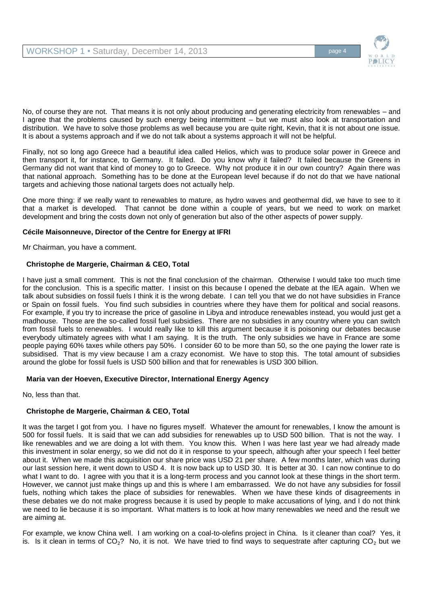

No, of course they are not. That means it is not only about producing and generating electricity from renewables – and I agree that the problems caused by such energy being intermittent – but we must also look at transportation and distribution. We have to solve those problems as well because you are quite right, Kevin, that it is not about one issue. It is about a systems approach and if we do not talk about a systems approach it will not be helpful.

Finally, not so long ago Greece had a beautiful idea called Helios, which was to produce solar power in Greece and then transport it, for instance, to Germany. It failed. Do you know why it failed? It failed because the Greens in Germany did not want that kind of money to go to Greece. Why not produce it in our own country? Again there was that national approach. Something has to be done at the European level because if do not do that we have national targets and achieving those national targets does not actually help.

One more thing: if we really want to renewables to mature, as hydro waves and geothermal did, we have to see to it that a market is developed. That cannot be done within a couple of years, but we need to work on market development and bring the costs down not only of generation but also of the other aspects of power supply.

### **Cécile Maisonneuve, Director of the Centre for Energy at IFRI**

Mr Chairman, you have a comment.

### **Christophe de Margerie, Chairman & CEO, Total**

I have just a small comment. This is not the final conclusion of the chairman. Otherwise I would take too much time for the conclusion. This is a specific matter. I insist on this because I opened the debate at the IEA again. When we talk about subsidies on fossil fuels I think it is the wrong debate. I can tell you that we do not have subsidies in France or Spain on fossil fuels. You find such subsidies in countries where they have them for political and social reasons. For example, if you try to increase the price of gasoline in Libya and introduce renewables instead, you would just get a madhouse. Those are the so-called fossil fuel subsidies. There are no subsidies in any country where you can switch from fossil fuels to renewables. I would really like to kill this argument because it is poisoning our debates because everybody ultimately agrees with what I am saying. It is the truth. The only subsidies we have in France are some people paying 60% taxes while others pay 50%. I consider 60 to be more than 50, so the one paying the lower rate is subsidised. That is my view because I am a crazy economist. We have to stop this. The total amount of subsidies around the globe for fossil fuels is USD 500 billion and that for renewables is USD 300 billion.

# **Maria van der Hoeven, Executive Director, International Energy Agency**

No, less than that.

# **Christophe de Margerie, Chairman & CEO, Total**

It was the target I got from you. I have no figures myself. Whatever the amount for renewables, I know the amount is 500 for fossil fuels. It is said that we can add subsidies for renewables up to USD 500 billion. That is not the way. I like renewables and we are doing a lot with them. You know this. When I was here last year we had already made this investment in solar energy, so we did not do it in response to your speech, although after your speech I feel better about it. When we made this acquisition our share price was USD 21 per share. A few months later, which was during our last session here, it went down to USD 4. It is now back up to USD 30. It is better at 30. I can now continue to do what I want to do. I agree with you that it is a long-term process and you cannot look at these things in the short term. However, we cannot just make things up and this is where I am embarrassed. We do not have any subsidies for fossil fuels, nothing which takes the place of subsidies for renewables. When we have these kinds of disagreements in these debates we do not make progress because it is used by people to make accusations of lying, and I do not think we need to lie because it is so important. What matters is to look at how many renewables we need and the result we are aiming at.

For example, we know China well. I am working on a coal-to-olefins project in China. Is it cleaner than coal? Yes, it is. Is it clean in terms of CO<sub>2</sub>? No, it is not. We have tried to find ways to sequestrate after capturing CO<sub>2</sub> but we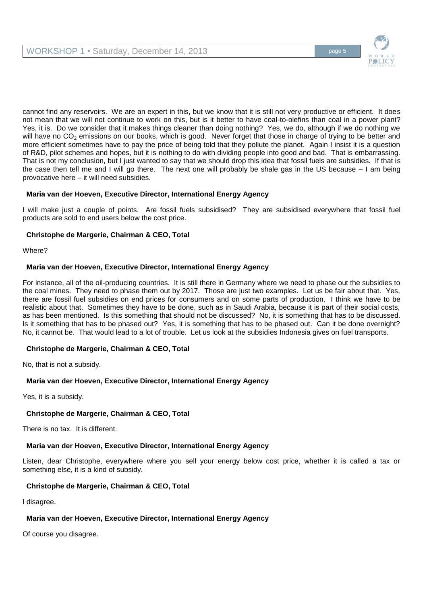

cannot find any reservoirs. We are an expert in this, but we know that it is still not very productive or efficient. It does not mean that we will not continue to work on this, but is it better to have coal-to-olefins than coal in a power plant? Yes, it is. Do we consider that it makes things cleaner than doing nothing? Yes, we do, although if we do nothing we will have no  $CO<sub>2</sub>$  emissions on our books, which is good. Never forget that those in charge of trying to be better and more efficient sometimes have to pay the price of being told that they pollute the planet. Again I insist it is a question of R&D, pilot schemes and hopes, but it is nothing to do with dividing people into good and bad. That is embarrassing. That is not my conclusion, but I just wanted to say that we should drop this idea that fossil fuels are subsidies. If that is the case then tell me and I will go there. The next one will probably be shale gas in the US because – I am being provocative here – it will need subsidies.

# **Maria van der Hoeven, Executive Director, International Energy Agency**

I will make just a couple of points. Are fossil fuels subsidised? They are subsidised everywhere that fossil fuel products are sold to end users below the cost price.

# **Christophe de Margerie, Chairman & CEO, Total**

Where?

# **Maria van der Hoeven, Executive Director, International Energy Agency**

For instance, all of the oil-producing countries. It is still there in Germany where we need to phase out the subsidies to the coal mines. They need to phase them out by 2017. Those are just two examples. Let us be fair about that. Yes, there are fossil fuel subsidies on end prices for consumers and on some parts of production. I think we have to be realistic about that. Sometimes they have to be done, such as in Saudi Arabia, because it is part of their social costs, as has been mentioned. Is this something that should not be discussed? No, it is something that has to be discussed. Is it something that has to be phased out? Yes, it is something that has to be phased out. Can it be done overnight? No, it cannot be. That would lead to a lot of trouble. Let us look at the subsidies Indonesia gives on fuel transports.

# **Christophe de Margerie, Chairman & CEO, Total**

No, that is not a subsidy.

# **Maria van der Hoeven, Executive Director, International Energy Agency**

Yes, it is a subsidy.

# **Christophe de Margerie, Chairman & CEO, Total**

There is no tax. It is different.

# **Maria van der Hoeven, Executive Director, International Energy Agency**

Listen, dear Christophe, everywhere where you sell your energy below cost price, whether it is called a tax or something else, it is a kind of subsidy.

# **Christophe de Margerie, Chairman & CEO, Total**

I disagree.

# **Maria van der Hoeven, Executive Director, International Energy Agency**

Of course you disagree.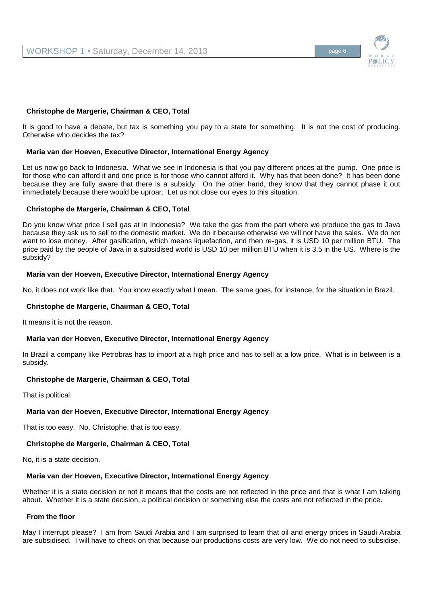

### **Christophe de Margerie, Chairman & CEO, Total**

It is good to have a debate, but tax is something you pay to a state for something. It is not the cost of producing. Otherwise who decides the tax?

#### **Maria van der Hoeven, Executive Director, International Energy Agency**

Let us now go back to Indonesia. What we see in Indonesia is that you pay different prices at the pump. One price is for those who can afford it and one price is for those who cannot afford it. Why has that been done? It has been done because they are fully aware that there is a subsidy. On the other hand, they know that they cannot phase it out immediately because there would be uproar. Let us not close our eyes to this situation.

#### **Christophe de Margerie, Chairman & CEO, Total**

Do you know what price I sell gas at in Indonesia? We take the gas from the part where we produce the gas to Java because they ask us to sell to the domestic market. We do it because otherwise we will not have the sales. We do not want to lose money. After gasification, which means liquefaction, and then re-gas, it is USD 10 per million BTU. The price paid by the people of Java in a subsidised world is USD 10 per million BTU when it is 3.5 in the US. Where is the subsidy?

#### **Maria van der Hoeven, Executive Director, International Energy Agency**

No, it does not work like that. You know exactly what I mean. The same goes, for instance, for the situation in Brazil.

### **Christophe de Margerie, Chairman & CEO, Total**

It means it is not the reason.

### **Maria van der Hoeven, Executive Director, International Energy Agency**

In Brazil a company like Petrobras has to import at a high price and has to sell at a low price. What is in between is a subsidy.

### **Christophe de Margerie, Chairman & CEO, Total**

That is political.

### **Maria van der Hoeven, Executive Director, International Energy Agency**

That is too easy. No, Christophe, that is too easy.

### **Christophe de Margerie, Chairman & CEO, Total**

No, it is a state decision.

### **Maria van der Hoeven, Executive Director, International Energy Agency**

Whether it is a state decision or not it means that the costs are not reflected in the price and that is what I am talking about. Whether it is a state decision, a political decision or something else the costs are not reflected in the price.

### **From the floor**

May I interrupt please? I am from Saudi Arabia and I am surprised to learn that oil and energy prices in Saudi Arabia are subsidised. I will have to check on that because our productions costs are very low. We do not need to subsidise.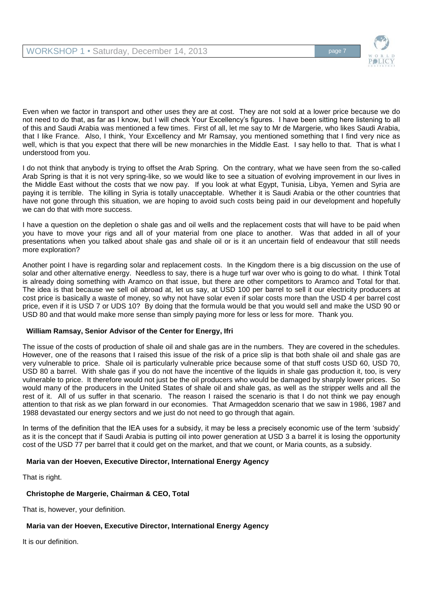

Even when we factor in transport and other uses they are at cost. They are not sold at a lower price because we do not need to do that, as far as I know, but I will check Your Excellency's figures. I have been sitting here listening to all of this and Saudi Arabia was mentioned a few times. First of all, let me say to Mr de Margerie, who likes Saudi Arabia, that I like France. Also, I think, Your Excellency and Mr Ramsay, you mentioned something that I find very nice as well, which is that you expect that there will be new monarchies in the Middle East. I say hello to that. That is what I understood from you.

I do not think that anybody is trying to offset the Arab Spring. On the contrary, what we have seen from the so-called Arab Spring is that it is not very spring-like, so we would like to see a situation of evolving improvement in our lives in the Middle East without the costs that we now pay. If you look at what Egypt, Tunisia, Libya, Yemen and Syria are paying it is terrible. The killing in Syria is totally unacceptable. Whether it is Saudi Arabia or the other countries that have not gone through this situation, we are hoping to avoid such costs being paid in our development and hopefully we can do that with more success.

I have a question on the depletion o shale gas and oil wells and the replacement costs that will have to be paid when you have to move your rigs and all of your material from one place to another. Was that added in all of your presentations when you talked about shale gas and shale oil or is it an uncertain field of endeavour that still needs more exploration?

Another point I have is regarding solar and replacement costs. In the Kingdom there is a big discussion on the use of solar and other alternative energy. Needless to say, there is a huge turf war over who is going to do what. I think Total is already doing something with Aramco on that issue, but there are other competitors to Aramco and Total for that. The idea is that because we sell oil abroad at, let us say, at USD 100 per barrel to sell it our electricity producers at cost price is basically a waste of money, so why not have solar even if solar costs more than the USD 4 per barrel cost price, even if it is USD 7 or UDS 10? By doing that the formula would be that you would sell and make the USD 90 or USD 80 and that would make more sense than simply paying more for less or less for more. Thank you.

# **William Ramsay, Senior Advisor of the Center for Energy, Ifri**

The issue of the costs of production of shale oil and shale gas are in the numbers. They are covered in the schedules. However, one of the reasons that I raised this issue of the risk of a price slip is that both shale oil and shale gas are very vulnerable to price. Shale oil is particularly vulnerable price because some of that stuff costs USD 60, USD 70, USD 80 a barrel. With shale gas if you do not have the incentive of the liquids in shale gas production it, too, is very vulnerable to price. It therefore would not just be the oil producers who would be damaged by sharply lower prices. So would many of the producers in the United States of shale oil and shale gas, as well as the stripper wells and all the rest of it. All of us suffer in that scenario. The reason I raised the scenario is that I do not think we pay enough attention to that risk as we plan forward in our economies. That Armageddon scenario that we saw in 1986, 1987 and 1988 devastated our energy sectors and we just do not need to go through that again.

In terms of the definition that the IEA uses for a subsidy, it may be less a precisely economic use of the term 'subsidy' as it is the concept that if Saudi Arabia is putting oil into power generation at USD 3 a barrel it is losing the opportunity cost of the USD 77 per barrel that it could get on the market, and that we count, or Maria counts, as a subsidy.

# **Maria van der Hoeven, Executive Director, International Energy Agency**

That is right.

# **Christophe de Margerie, Chairman & CEO, Total**

That is, however, your definition.

# **Maria van der Hoeven, Executive Director, International Energy Agency**

It is our definition.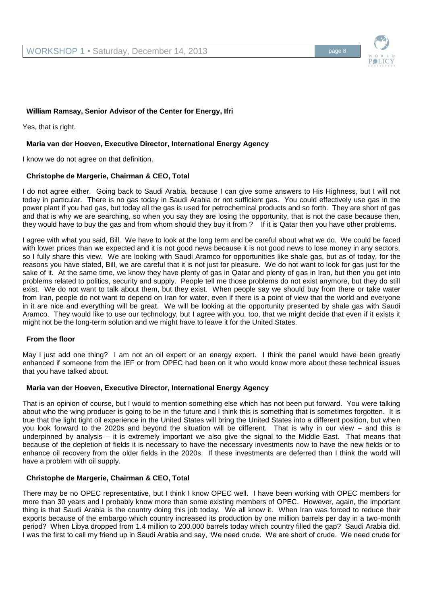

# **William Ramsay, Senior Advisor of the Center for Energy, Ifri**

Yes, that is right.

### **Maria van der Hoeven, Executive Director, International Energy Agency**

I know we do not agree on that definition.

### **Christophe de Margerie, Chairman & CEO, Total**

I do not agree either. Going back to Saudi Arabia, because I can give some answers to His Highness, but I will not today in particular. There is no gas today in Saudi Arabia or not sufficient gas. You could effectively use gas in the power plant if you had gas, but today all the gas is used for petrochemical products and so forth. They are short of gas and that is why we are searching, so when you say they are losing the opportunity, that is not the case because then, they would have to buy the gas and from whom should they buy it from ? If it is Qatar then you have other problems.

I agree with what you said, Bill. We have to look at the long term and be careful about what we do. We could be faced with lower prices than we expected and it is not good news because it is not good news to lose money in any sectors, so I fully share this view. We are looking with Saudi Aramco for opportunities like shale gas, but as of today, for the reasons you have stated, Bill, we are careful that it is not just for pleasure. We do not want to look for gas just for the sake of it. At the same time, we know they have plenty of gas in Qatar and plenty of gas in Iran, but then you get into problems related to politics, security and supply. People tell me those problems do not exist anymore, but they do still exist. We do not want to talk about them, but they exist. When people say we should buy from there or take water from Iran, people do not want to depend on Iran for water, even if there is a point of view that the world and everyone in it are nice and everything will be great. We will be looking at the opportunity presented by shale gas with Saudi Aramco. They would like to use our technology, but I agree with you, too, that we might decide that even if it exists it might not be the long-term solution and we might have to leave it for the United States.

### **From the floor**

May I just add one thing? I am not an oil expert or an energy expert. I think the panel would have been greatly enhanced if someone from the IEF or from OPEC had been on it who would know more about these technical issues that you have talked about.

### **Maria van der Hoeven, Executive Director, International Energy Agency**

That is an opinion of course, but I would to mention something else which has not been put forward. You were talking about who the wing producer is going to be in the future and I think this is something that is sometimes forgotten. It is true that the light tight oil experience in the United States will bring the United States into a different position, but when you look forward to the 2020s and beyond the situation will be different. That is why in our view – and this is underpinned by analysis – it is extremely important we also give the signal to the Middle East. That means that because of the depletion of fields it is necessary to have the necessary investments now to have the new fields or to enhance oil recovery from the older fields in the 2020s. If these investments are deferred than I think the world will have a problem with oil supply.

### **Christophe de Margerie, Chairman & CEO, Total**

There may be no OPEC representative, but I think I know OPEC well. I have been working with OPEC members for more than 30 years and I probably know more than some existing members of OPEC. However, again, the important thing is that Saudi Arabia is the country doing this job today. We all know it. When Iran was forced to reduce their exports because of the embargo which country increased its production by one million barrels per day in a two-month period? When Libya dropped from 1.4 million to 200,000 barrels today which country filled the gap? Saudi Arabia did. I was the first to call my friend up in Saudi Arabia and say, 'We need crude. We are short of crude. We need crude for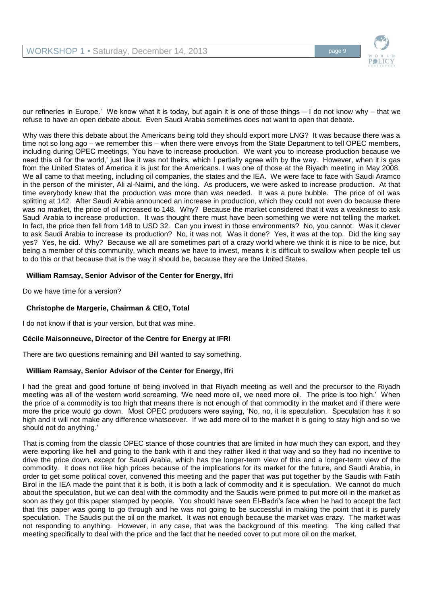

our refineries in Europe.' We know what it is today, but again it is one of those things – I do not know why – that we refuse to have an open debate about. Even Saudi Arabia sometimes does not want to open that debate.

Why was there this debate about the Americans being told they should export more LNG? It was because there was a time not so long ago – we remember this – when there were envoys from the State Department to tell OPEC members, including during OPEC meetings, 'You have to increase production. We want you to increase production because we need this oil for the world,' just like it was not theirs, which I partially agree with by the way. However, when it is gas from the United States of America it is just for the Americans. I was one of those at the Riyadh meeting in May 2008. We all came to that meeting, including oil companies, the states and the IEA. We were face to face with Saudi Aramco in the person of the minister, Ali al-Naimi, and the king. As producers, we were asked to increase production. At that time everybody knew that the production was more than was needed. It was a pure bubble. The price of oil was splitting at 142. After Saudi Arabia announced an increase in production, which they could not even do because there was no market, the price of oil increased to 148. Why? Because the market considered that it was a weakness to ask Saudi Arabia to increase production. It was thought there must have been something we were not telling the market. In fact, the price then fell from 148 to USD 32. Can you invest in those environments? No, you cannot. Was it clever to ask Saudi Arabia to increase its production? No, it was not. Was it done? Yes, it was at the top. Did the king say yes? Yes, he did. Why? Because we all are sometimes part of a crazy world where we think it is nice to be nice, but being a member of this community, which means we have to invest, means it is difficult to swallow when people tell us to do this or that because that is the way it should be, because they are the United States.

# **William Ramsay, Senior Advisor of the Center for Energy, Ifri**

Do we have time for a version?

# **Christophe de Margerie, Chairman & CEO, Total**

I do not know if that is your version, but that was mine.

# **Cécile Maisonneuve, Director of the Centre for Energy at IFRI**

There are two questions remaining and Bill wanted to say something.

# **William Ramsay, Senior Advisor of the Center for Energy, Ifri**

I had the great and good fortune of being involved in that Riyadh meeting as well and the precursor to the Riyadh meeting was all of the western world screaming, 'We need more oil, we need more oil. The price is too high.' When the price of a commodity is too high that means there is not enough of that commodity in the market and if there were more the price would go down. Most OPEC producers were saying, 'No, no, it is speculation. Speculation has it so high and it will not make any difference whatsoever. If we add more oil to the market it is going to stay high and so we should not do anything.'

That is coming from the classic OPEC stance of those countries that are limited in how much they can export, and they were exporting like hell and going to the bank with it and they rather liked it that way and so they had no incentive to drive the price down, except for Saudi Arabia, which has the longer-term view of this and a longer-term view of the commodity. It does not like high prices because of the implications for its market for the future, and Saudi Arabia, in order to get some political cover, convened this meeting and the paper that was put together by the Saudis with Fatih Birol in the IEA made the point that it is both, it is both a lack of commodity and it is speculation. We cannot do much about the speculation, but we can deal with the commodity and the Saudis were primed to put more oil in the market as soon as they got this paper stamped by people. You should have seen El-Badri's face when he had to accept the fact that this paper was going to go through and he was not going to be successful in making the point that it is purely speculation. The Saudis put the oil on the market. It was not enough because the market was crazy. The market was not responding to anything. However, in any case, that was the background of this meeting. The king called that meeting specifically to deal with the price and the fact that he needed cover to put more oil on the market.